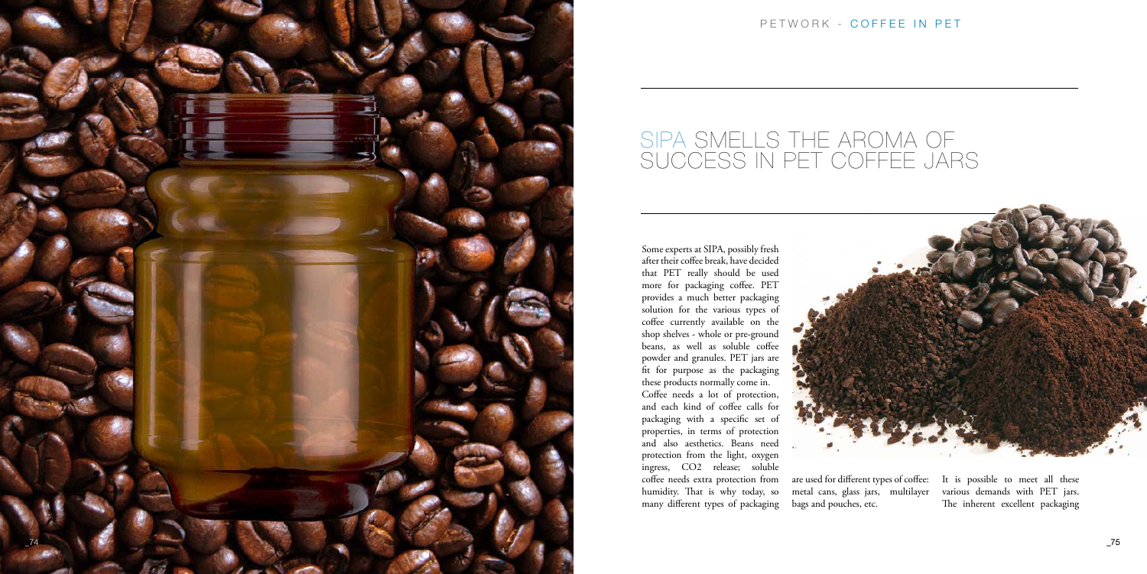

Some experts at SIPA, possibly fresh after their coffee break, have decided that PET really should be used more for packaging coffee. PET provides a much better packaging solution for the various types of coffee currently available on the shop shelves - whole or pre-ground beans, as well as soluble coffee powder and granules. PET jars are fit for purpose as the packaging these products normally come in. Coffee needs a lot of protection, and each kind of coffee calls for packaging with a specific set of properties, in terms of protection and also aesthetics. Beans need protection from the light, oxygen ingress, CO2 release; soluble coffee needs extra protection from humidity. That is why today, so many different types of packaging

metal cans, glass jars, multilayer bags and pouches, etc.

are used for different types of coffee: It is possible to meet all these various demands with PET jars. The inherent excellent packaging

## PETWORK - COFFEE IN PET



## SIPA SMELLS THE AROMA OF SUCCESS IN PET COFFEE JARS